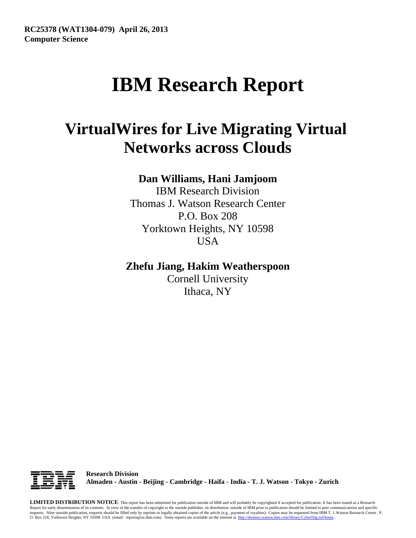# **IBM Research Report**

## **VirtualWires for Live Migrating Virtual Networks across Clouds**

## **Dan Williams, Hani Jamjoom**

IBM Research Division Thomas J. Watson Research Center P.O. Box 208 Yorktown Heights, NY 10598 **USA** 

### **Zhefu Jiang, Hakim Weatherspoon**

Cornell University Ithaca, NY



**Research Division Almaden - Austin - Beijing - Cambridge - Haifa - India - T. J. Watson - Tokyo - Zurich**

**LIMITED DISTRIBUTION NOTICE**: This report has been submitted for publication outside of IBM and will probably be copyrighted if accepted for publication. It has been issued as a Research Report for early dissemination of its contents. In view of the transfer of copyright to the outside publisher, its distribution outside of IBM prior to publication should be limited to peer communications and specific requests. After outside publication, requests should be filled only by reprints or legally obtained copies of the article (e.g. , payment of royalties). Copies may be requested from IBM T. J. Watson Research Center , P. O. Box 218, Yorktown Heights, NY 10598 USA (email: reports@us.ibm.com). Some reports are available on the internet at http://domino.watson.ibm.com/library/CyberDig.nsf/home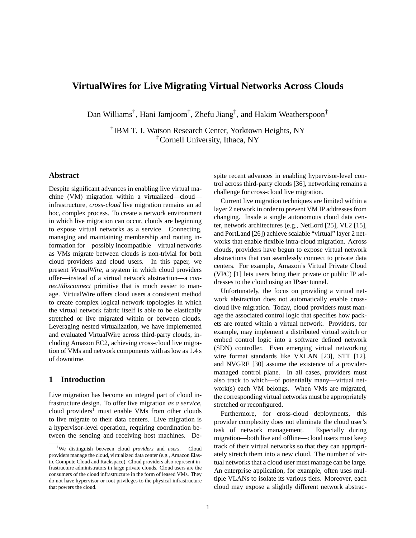#### **VirtualWires for Live Migrating Virtual Networks Across Clouds**

Dan Williams† , Hani Jamjoom† , Zhefu Jiang‡ , and Hakim Weatherspoon‡

† IBM T. J. Watson Research Center, Yorktown Heights, NY ‡Cornell University, Ithaca, NY

#### **Abstract**

Despite significant advances in enabling live virtual machine (VM) migration within a virtualized—cloud infrastructure, *cross-cloud* live migration remains an ad hoc, complex process. To create a network environment in which live migration can occur, clouds are beginning to expose virtual networks as a service. Connecting, managing and maintaining membership and routing information for—possibly incompatible—virtual networks as VMs migrate between clouds is non-trivial for both cloud providers and cloud users. In this paper, we present *VirtualWire*, a system in which cloud providers offer—instead of a virtual network abstraction—a *connect/disconnect* primitive that is much easier to manage. VirtualWire offers cloud users a consistent method to create complex logical network topologies in which the virtual network fabric itself is able to be elastically stretched or live migrated within or between clouds. Leveraging nested virtualization, we have implemented and evaluated VirtualWire across third-party clouds, including Amazon EC2, achieving cross-cloud live migration of VMs and network components with as low as 1.4 s of downtime.

#### **1 Introduction**

Live migration has become an integral part of cloud infrastructure design. To offer live migration *as a service*, cloud providers<sup>1</sup> must enable VMs from other clouds to live migrate to their data centers. Live migration is a hypervisor-level operation, requiring coordination between the sending and receiving host machines. Despite recent advances in enabling hypervisor-level control across third-party clouds [36], networking remains a challenge for cross-cloud live migration.

Current live migration techniques are limited within a layer 2 network in order to prevent VM IP addresses from changing. Inside a single autonomous cloud data center, network architectures (e.g., NetLord [25], VL2 [15], and PortLand [26]) achieve scalable "virtual" layer 2 networks that enable flexible intra-cloud migration. Across clouds, providers have begun to expose virtual network abstractions that can seamlessly connect to private data centers. For example, Amazon's Virtual Private Cloud (VPC) [1] lets users bring their private or public IP addresses to the cloud using an IPsec tunnel.

Unfortunately, the focus on providing a virtual network abstraction does not automatically enable crosscloud live migration. Today, cloud providers must manage the associated control logic that specifies how packets are routed within a virtual network. Providers, for example, may implement a distributed virtual switch or embed control logic into a software defined network (SDN) controller. Even emerging virtual networking wire format standards like VXLAN [23], STT [12], and NVGRE [30] assume the existence of a providermanaged control plane. In all cases, providers must also track to which—of potentially many—virtual network(s) each VM belongs. When VMs are migrated, the corresponding virtual networks must be appropriately stretched or reconfigured.

Furthermore, for cross-cloud deployments, this provider complexity does not eliminate the cloud user's task of network management. Especially during migration—both live and offline—cloud users must keep track of their virtual networks so that they can appropriately stretch them into a new cloud. The number of virtual networks that a cloud user must manage can be large. An enterprise application, for example, often uses multiple VLANs to isolate its various tiers. Moreover, each cloud may expose a slightly different network abstrac-

<sup>1</sup>We distinguish between cloud *providers* and *users*. Cloud providers manage the cloud, virtualized data center (e.g., Amazon Elastic Compute Cloud and Rackspace). Cloud providers also represent infrastructure administrators in large private clouds. Cloud users are the consumers of the cloud infrastructure in the form of leased VMs. They do not have hypervisor or root privileges to the physical infrastructure that powers the cloud.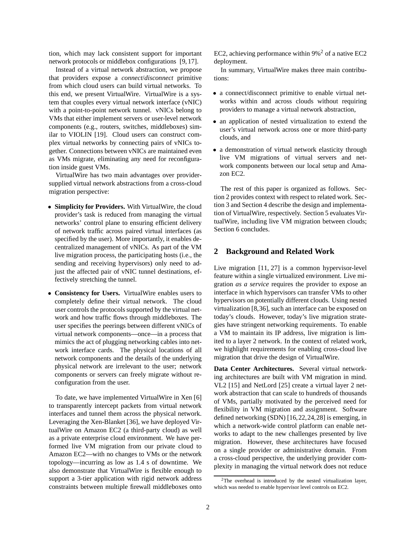tion, which may lack consistent support for important network protocols or middlebox configurations [9, 17].

Instead of a virtual network abstraction, we propose that providers expose a *connect*/*disconnect* primitive from which cloud users can build virtual networks. To this end, we present VirtualWire. VirtualWire is a system that couples every virtual network interface (vNIC) with a point-to-point network tunnel. vNICs belong to VMs that either implement servers or user-level network components (e.g., routers, switches, middleboxes) similar to VIOLIN [19]. Cloud users can construct complex virtual networks by connecting pairs of vNICs together. Connections between vNICs are maintained even as VMs migrate, eliminating any need for reconfiguration inside guest VMs.

VirtualWire has two main advantages over providersupplied virtual network abstractions from a cross-cloud migration perspective:

- **Simplicity for Providers.** With VirtualWire, the cloud provider's task is reduced from managing the virtual networks' control plane to ensuring efficient delivery of network traffic across paired virtual interfaces (as specified by the user). More importantly, it enables decentralized management of vNICs. As part of the VM live migration process, the participating hosts (i.e., the sending and receiving hypervisors) only need to adjust the affected pair of vNIC tunnel destinations, effectively stretching the tunnel.
- **Consistency for Users.** VirtualWire enables users to completely define their virtual network. The cloud user controls the protocols supported by the virtual network and how traffic flows through middleboxes. The user specifies the peerings between different vNICs of virtual network components—once—in a process that mimics the act of plugging networking cables into network interface cards. The physical locations of all network components and the details of the underlying physical network are irrelevant to the user; network components or servers can freely migrate without reconfiguration from the user.

To date, we have implemented VirtualWire in Xen [6] to transparently intercept packets from virtual network interfaces and tunnel them across the physical network. Leveraging the Xen-Blanket [36], we have deployed VirtualWire on Amazon EC2 (a third-party cloud) as well as a private enterprise cloud environment. We have performed live VM migration from our private cloud to Amazon EC2—with no changes to VMs or the network topology—incurring as low as 1.4 s of downtime. We also demonstrate that VirtualWire is flexible enough to support a 3-tier application with rigid network address constraints between multiple firewall middleboxes onto EC2, achieving performance within  $9\%$ <sup>2</sup> of a native EC2 deployment.

In summary, VirtualWire makes three main contributions:

- a connect/disconnect primitive to enable virtual networks within and across clouds without requiring providers to manage a virtual network abstraction,
- an application of nested virtualization to extend the user's virtual network across one or more third-party clouds, and
- a demonstration of virtual network elasticity through live VM migrations of virtual servers and network components between our local setup and Amazon EC2.

The rest of this paper is organized as follows. Section 2 provides context with respect to related work. Section 3 and Section 4 describe the design and implementation of VirtualWire, respectively. Section 5 evaluates VirtualWire, including live VM migration between clouds; Section 6 concludes.

#### **2 Background and Related Work**

Live migration [11, 27] is a common hypervisor-level feature within a single virtualized environment. Live migration *as a service* requires the provider to expose an interface in which hypervisors can transfer VMs to other hypervisors on potentially different clouds. Using nested virtualization [8,36], such an interface can be exposed on today's clouds. However, today's live migration strategies have stringent networking requirements. To enable a VM to maintain its IP address, live migration is limited to a layer 2 network. In the context of related work, we highlight requirements for enabling cross-cloud live migration that drive the design of VirtualWire.

**Data Center Architectures.** Several virtual networking architectures are built with VM migration in mind. VL2 [15] and NetLord [25] create a virtual layer 2 network abstraction that can scale to hundreds of thousands of VMs, partially motivated by the perceived need for flexibility in VM migration and assignment. Software defined networking (SDN) [16,22,24,28] is emerging, in which a network-wide control platform can enable networks to adapt to the new challenges presented by live migration. However, these architectures have focused on a single provider or administrative domain. From a cross-cloud perspective, the underlying provider complexity in managing the virtual network does not reduce

 $2$ The overhead is introduced by the nested virtualization layer, which was needed to enable hypervisor level controls on EC2.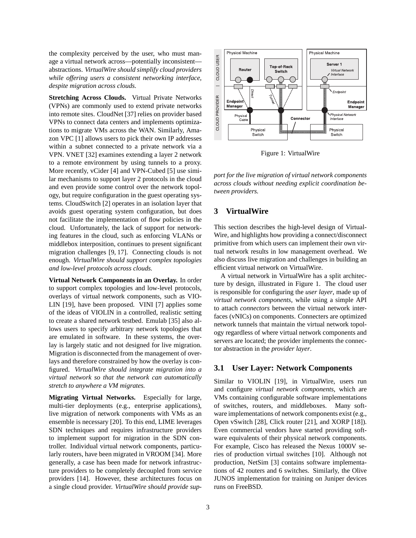the complexity perceived by the user, who must manage a virtual network across—potentially inconsistent abstractions. *VirtualWire should simplify cloud providers while offering users a consistent networking interface, despite migration across clouds.*

**Stretching Across Clouds.** Virtual Private Networks (VPNs) are commonly used to extend private networks into remote sites. CloudNet [37] relies on provider based VPNs to connect data centers and implements optimizations to migrate VMs across the WAN. Similarly, Amazon VPC [1] allows users to pick their own IP addresses within a subnet connected to a private network via a VPN. VNET [32] examines extending a layer 2 network to a remote environment by using tunnels to a proxy. More recently, vCider [4] and VPN-Cubed [5] use similar mechanisms to support layer 2 protocols in the cloud and even provide some control over the network topology, but require configuration in the guest operating systems. CloudSwitch [2] operates in an isolation layer that avoids guest operating system configuration, but does not facilitate the implementation of flow policies in the cloud. Unfortunately, the lack of support for networking features in the cloud, such as enforcing VLANs or middlebox interposition, continues to present significant migration challenges [9, 17]. Connecting clouds is not enough. *VirtualWire should support complex topologies and low-level protocols across clouds.*

**Virtual Network Components in an Overlay.** In order to support complex topologies and low-level protocols, overlays of virtual network components, such as VIO-LIN [19], have been proposed. VINI [7] applies some of the ideas of VIOLIN in a controlled, realistic setting to create a shared network testbed. Emulab [35] also allows users to specify arbitrary network topologies that are emulated in software. In these systems, the overlay is largely static and not designed for live migration. Migration is disconnected from the management of overlays and therefore constrained by how the overlay is configured. *VirtualWire should integrate migration into a virtual network so that the network can automatically stretch to anywhere a VM migrates.*

**Migrating Virtual Networks.** Especially for large, multi-tier deployments (e.g., enterprise applications), live migration of network components with VMs as an ensemble is necessary [20]. To this end, LIME leverages SDN techniques and requires infrastructure providers to implement support for migration in the SDN controller. Individual virtual network components, particularly routers, have been migrated in VROOM [34]. More generally, a case has been made for network infrastructure providers to be completely decoupled from service providers [14]. However, these architectures focus on a single cloud provider. *VirtualWire should provide sup-*



Figure 1: VirtualWire

*port for the live migration of virtual network components across clouds without needing explicit coordination between providers.*

#### **3 VirtualWire**

This section describes the high-level design of Virtual-Wire, and highlights how providing a connect/disconnect primitive from which users can implement their own virtual network results in low management overhead. We also discuss live migration and challenges in building an efficient virtual network on VirtualWire.

A virtual network in VirtualWire has a split architecture by design, illustrated in Figure 1. The cloud user is responsible for configuring the *user layer*, made up of *virtual network components*, while using a simple API to attach *connectors* between the virtual network interfaces (vNICs) on components. Connecters are optimized network tunnels that maintain the virtual network topology regardless of where virtual network components and servers are located; the provider implements the connector abstraction in the *provider layer*.

#### **3.1 User Layer: Network Components**

Similar to VIOLIN [19], in VirtualWire, users run and configure *virtual network components*, which are VMs containing configurable software implementations of switches, routers, and middleboxes. Many software implementations of network components exist (e.g., Open vSwitch [28], Click router [21], and XORP [18]). Even commercial vendors have started providing software equivalents of their physical network components. For example, Cisco has released the Nexus 1000V series of production virtual switches [10]. Although not production, NetSim [3] contains software implementations of 42 routers and 6 switches. Similarly, the Olive JUNOS implementation for training on Juniper devices runs on FreeBSD.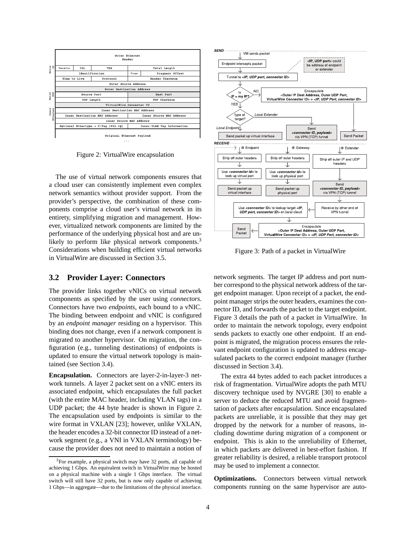

Figure 2: VirtualWire encapsulation

The use of virtual network components ensures that a cloud user can consistently implement even complex network semantics without provider support. From the provider's perspective, the combination of these components comprise a cloud user's virtual network in its entirety, simplifying migration and management. However, virtualized network components are limited by the performance of the underlying physical host and are unlikely to perform like physical network components.<sup>3</sup> Considerations when building efficient virtual networks in VirtualWire are discussed in Section 3.5.

#### **3.2 Provider Layer: Connectors**

The provider links together vNICs on virtual network components as specified by the user using *connectors*. Connectors have two *endpoints*, each bound to a vNIC. The binding between endpoint and vNIC is configured by an *endpoint manager* residing on a hypervisor. This binding does not change, even if a network component is migrated to another hypervisor. On migration, the configuration (e.g., tunneling destinations) of endpoints is updated to ensure the virtual network topology is maintained (see Section 3.4).

**Encapsulation.** Connectors are layer-2-in-layer-3 network tunnels. A layer 2 packet sent on a vNIC enters its associated endpoint, which encapsulates the full packet (with the entire MAC header, including VLAN tags) in a UDP packet; the 44 byte header is shown in Figure 2. The encapsulation used by endpoints is similar to the wire format in VXLAN [23]; however, unlike VXLAN, the header encodes a 32-bit connector ID instead of a network segment (e.g., a VNI in VXLAN terminology) because the provider does not need to maintain a notion of



Figure 3: Path of a packet in VirtualWire

network segments. The target IP address and port number correspond to the physical network address of the target endpoint manager. Upon receipt of a packet, the endpoint manager strips the outer headers, examines the connector ID, and forwards the packet to the target endpoint. Figure 3 details the path of a packet in VirtualWire. In order to maintain the network topology, every endpoint sends packets to exactly one other endpoint. If an endpoint is migrated, the migration process ensures the relevant endpoint configuration is updated to address encapsulated packets to the correct endpoint manager (further discussed in Section 3.4).

The extra 44 bytes added to each packet introduces a risk of fragmentation. VirtualWire adopts the path MTU discovery technique used by NVGRE [30] to enable a server to deduce the reduced MTU and avoid fragmentation of packets after encapsulation. Since encapsulated packets are unreliable, it is possible that they may get dropped by the network for a number of reasons, including downtime during migration of a component or endpoint. This is akin to the unreliability of Ethernet, in which packets are delivered in best-effort fashion. If greater reliability is desired, a reliable transport protocol may be used to implement a connector.

**Optimizations.** Connectors between virtual network components running on the same hypervisor are auto-

<sup>&</sup>lt;sup>3</sup>For example, a physical switch may have 32 ports, all capable of achieving 1 Gbps. An equivalent switch in VirtualWire may be hosted on a physical machine with a single 1 Gbps interface. The virtual switch will still have 32 ports, but is now only capable of achieving 1 Gbps—in aggregate—due to the limitations of the physical interface.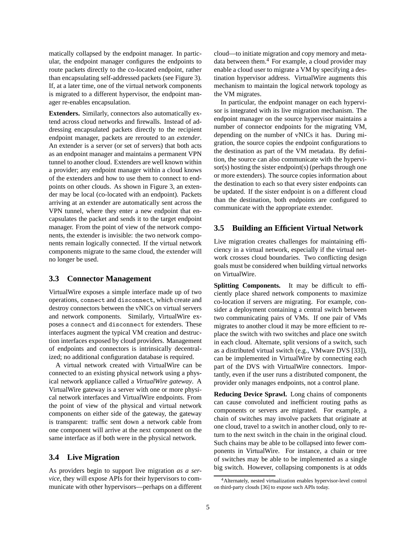matically collapsed by the endpoint manager. In particular, the endpoint manager configures the endpoints to route packets directly to the co-located endpoint, rather than encapsulating self-addressed packets (see Figure 3). If, at a later time, one of the virtual network components is migrated to a different hypervisor, the endpoint manager re-enables encapsulation.

**Extenders.** Similarly, connectors also automatically extend across cloud networks and firewalls. Instead of addressing encapsulated packets directly to the recipient endpoint manager, packets are rerouted to an *extender*. An extender is a server (or set of servers) that both acts as an endpoint manager and maintains a permanent VPN tunnel to another cloud. Extenders are well known within a provider; any endpoint manager within a cloud knows of the extenders and how to use them to connect to endpoints on other clouds. As shown in Figure 3, an extender may be local (co-located with an endpoint). Packets arriving at an extender are automatically sent across the VPN tunnel, where they enter a new endpoint that encapsulates the packet and sends it to the target endpoint manager. From the point of view of the network components, the extender is invisible: the two network components remain logically connected. If the virtual network components migrate to the same cloud, the extender will no longer be used.

#### **3.3 Connector Management**

VirtualWire exposes a simple interface made up of two operations, connect and disconnect, which create and destroy connectors between the vNICs on virtual servers and network components. Similarly, VirtualWire exposes a connect and disconnect for extenders. These interfaces augment the typical VM creation and destruction interfaces exposed by cloud providers. Management of endpoints and connectors is intrinsically decentralized; no additional configuration database is required.

A virtual network created with VirtualWire can be connected to an existing physical network using a physical network appliance called a *VirtualWire gateway*. A VirtualWire gateway is a server with one or more physical network interfaces and VirtualWire endpoints. From the point of view of the physical and virtual network components on either side of the gateway, the gateway is transparent: traffic sent down a network cable from one component will arrive at the next component on the same interface as if both were in the physical network.

#### **3.4 Live Migration**

As providers begin to support live migration *as a service*, they will expose APIs for their hypervisors to communicate with other hypervisors—perhaps on a different cloud—to initiate migration and copy memory and metadata between them. $4$  For example, a cloud provider may enable a cloud user to migrate a VM by specifying a destination hypervisor address. VirtualWire augments this mechanism to maintain the logical network topology as the VM migrates.

In particular, the endpoint manager on each hypervisor is integrated with its live migration mechanism. The endpoint manager on the source hypervisor maintains a number of connector endpoints for the migrating VM, depending on the number of vNICs it has. During migration, the source copies the endpoint configurations to the destination as part of the VM metadata. By definition, the source can also communicate with the hypervisor(s) hosting the sister endpoint(s) (perhaps through one or more extenders). The source copies information about the destination to each so that every sister endpoints can be updated. If the sister endpoint is on a different cloud than the destination, both endpoints are configured to communicate with the appropriate extender.

#### **3.5 Building an Efficient Virtual Network**

Live migration creates challenges for maintaining efficiency in a virtual network, especially if the virtual network crosses cloud boundaries. Two conflicting design goals must be considered when building virtual networks on VirtualWire.

**Splitting Components.** It may be difficult to efficiently place shared network components to maximize co-location if servers are migrating. For example, consider a deployment containing a central switch between two communicating pairs of VMs. If one pair of VMs migrates to another cloud it may be more efficient to replace the switch with two switches and place one switch in each cloud. Alternate, split versions of a switch, such as a distributed virtual switch (e.g., VMware DVS [33]), can be implemented in VirtualWire by connecting each part of the DVS with VirtualWire connectors. Importantly, even if the user runs a distributed component, the provider only manages endpoints, not a control plane.

**Reducing Device Sprawl.** Long chains of components can cause convoluted and inefficient routing paths as components or servers are migrated. For example, a chain of switches may involve packets that originate at one cloud, travel to a switch in another cloud, only to return to the next switch in the chain in the original cloud. Such chains may be able to be collapsed into fewer components in VirtualWire. For instance, a chain or tree of switches may be able to be implemented as a single big switch. However, collapsing components is at odds

<sup>4</sup>Alternately, nested virtualization enables hypervisor-level control on third-party clouds [36] to expose such APIs today.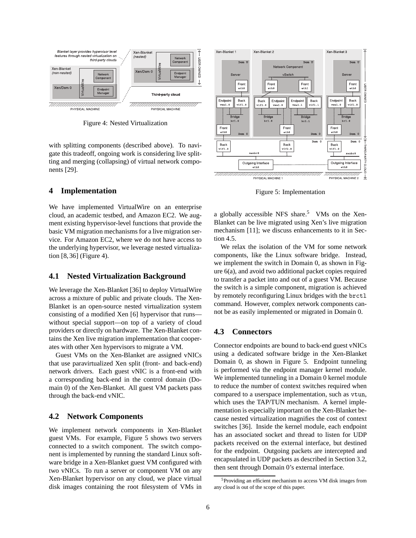

Figure 4: Nested Virtualization

with splitting components (described above). To navigate this tradeoff, ongoing work is considering live splitting and merging (collapsing) of virtual network components [29].

#### **4 Implementation**

We have implemented VirtualWire on an enterprise cloud, an academic testbed, and Amazon EC2. We augment existing hypervisor-level functions that provide the basic VM migration mechanisms for a live migration service. For Amazon EC2, where we do not have access to the underlying hypervisor, we leverage nested virtualization [8, 36] (Figure 4).

#### **4.1 Nested Virtualization Background**

We leverage the Xen-Blanket [36] to deploy VirtualWire across a mixture of public and private clouds. The Xen-Blanket is an open-source nested virtualization system consisting of a modified Xen [6] hypervisor that runs without special support—on top of a variety of cloud providers or directly on hardware. The Xen-Blanket contains the Xen live migration implementation that cooperates with other Xen hypervisors to migrate a VM.

Guest VMs on the Xen-Blanket are assigned vNICs that use paravirtualized Xen split (front- and back-end) network drivers. Each guest vNIC is a front-end with a corresponding back-end in the control domain (Domain 0) of the Xen-Blanket. All guest VM packets pass through the back-end vNIC.

#### **4.2 Network Components**

We implement network components in Xen-Blanket guest VMs. For example, Figure 5 shows two servers connected to a switch component. The switch component is implemented by running the standard Linux software bridge in a Xen-Blanket guest VM configured with two vNICs. To run a server or component VM on any Xen-Blanket hypervisor on any cloud, we place virtual disk images containing the root filesystem of VMs in



Figure 5: Implementation

a globally accessible NFS share.<sup>5</sup> VMs on the Xen-Blanket can be live migrated using Xen's live migration mechanism [11]; we discuss enhancements to it in Section 4.5.

We relax the isolation of the VM for some network components, like the Linux software bridge. Instead, we implement the switch in Domain 0, as shown in Figure 6(a), and avoid two additional packet copies required to transfer a packet into and out of a guest VM. Because the switch is a simple component, migration is achieved by remotely reconfiguring Linux bridges with the brctl command. However, complex network components cannot be as easily implemented or migrated in Domain 0.

#### **4.3 Connectors**

Connector endpoints are bound to back-end guest vNICs using a dedicated software bridge in the Xen-Blanket Domain 0, as shown in Figure 5. Endpoint tunneling is performed via the endpoint manager kernel module. We implemented tunneling in a Domain 0 kernel module to reduce the number of context switches required when compared to a userspace implementation, such as vtun, which uses the TAP/TUN mechanism. A kernel implementation is especially important on the Xen-Blanket because nested virtualization magnifies the cost of context switches [36]. Inside the kernel module, each endpoint has an associated socket and thread to listen for UDP packets received on the external interface, but destined for the endpoint. Outgoing packets are intercepted and encapsulated in UDP packets as described in Section 3.2, then sent through Domain 0's external interface.

<sup>5</sup>Providing an efficient mechanism to access VM disk images from any cloud is out of the scope of this paper.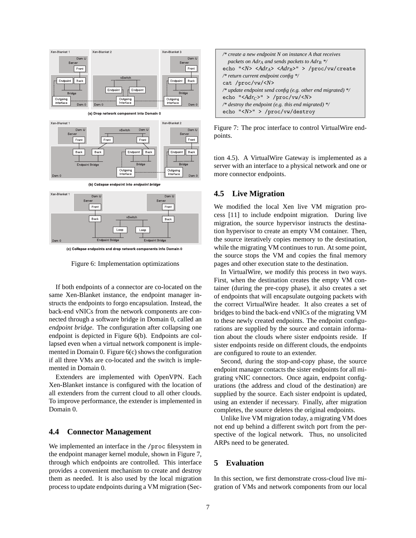

Figure 6: Implementation optimizations

If both endpoints of a connector are co-located on the same Xen-Blanket instance, the endpoint manager instructs the endpoints to forgo encapsulation. Instead, the back-end vNICs from the network components are connected through a software bridge in Domain 0, called an *endpoint bridge*. The configuration after collapsing one endpoint is depicted in Figure 6(b). Endpoints are collapsed even when a virtual network component is implemented in Domain 0. Figure 6(c) shows the configuration if all three VMs are co-located and the switch is implemented in Domain 0.

Extenders are implemented with OpenVPN. Each Xen-Blanket instance is configured with the location of all extenders from the current cloud to all other clouds. To improve performance, the extender is implemented in Domain 0.

#### **4.4 Connector Management**

We implemented an interface in the /proc filesystem in the endpoint manager kernel module, shown in Figure 7, through which endpoints are controlled. This interface provides a convenient mechanism to create and destroy them as needed. It is also used by the local migration process to update endpoints during a VM migration (Sec-

| /* create a new endpoint $N$ on instance $\Lambda$ that receives       |
|------------------------------------------------------------------------|
| packets on Adr <sub>A</sub> and sends packets to Adr <sub>B</sub> $*/$ |
| echo "< $N$ > < $Adr_A$ > < $Adr_B$ >" > /proc/vw/create               |
| /* return current endpoint config $*/$                                 |
| cat /proc/vw/< $N$ >                                                   |
| /* update endpoint send config (e.g. other end migrated) $*/$          |
| echo "< $Adr_C$ >" > /proc/vw/< $N$ >                                  |
| /* destroy the endpoint (e.g. this end migrated) $\frac{1}{2}$         |
| echo "< $N$ >" > /proc/vw/destroy                                      |

Figure 7: The proc interface to control VirtualWire endpoints.

tion 4.5). A VirtualWire Gateway is implemented as a server with an interface to a physical network and one or more connector endpoints.

#### **4.5 Live Migration**

We modified the local Xen live VM migration process [11] to include endpoint migration. During live migration, the source hypervisor instructs the destination hypervisor to create an empty VM container. Then, the source iteratively copies memory to the destination, while the migrating VM continues to run. At some point, the source stops the VM and copies the final memory pages and other execution state to the destination.

In VirtualWire, we modify this process in two ways. First, when the destination creates the empty VM container (during the pre-copy phase), it also creates a set of endpoints that will encapsulate outgoing packets with the correct VirtualWire header. It also creates a set of bridges to bind the back-end vNICs of the migrating VM to these newly created endpoints. The endpoint configurations are supplied by the source and contain information about the clouds where sister endpoints reside. If sister endpoints reside on different clouds, the endpoints are configured to route to an extender.

Second, during the stop-and-copy phase, the source endpoint manager contacts the sister endpoints for all migrating vNIC connectors. Once again, endpoint configurations (the address and cloud of the destination) are supplied by the source. Each sister endpoint is updated, using an extender if necessary. Finally, after migration completes, the source deletes the original endpoints.

Unlike live VM migration today, a migrating VM does not end up behind a different switch port from the perspective of the logical network. Thus, no unsolicited ARPs need to be generated.

#### **5 Evaluation**

In this section, we first demonstrate cross-cloud live migration of VMs and network components from our local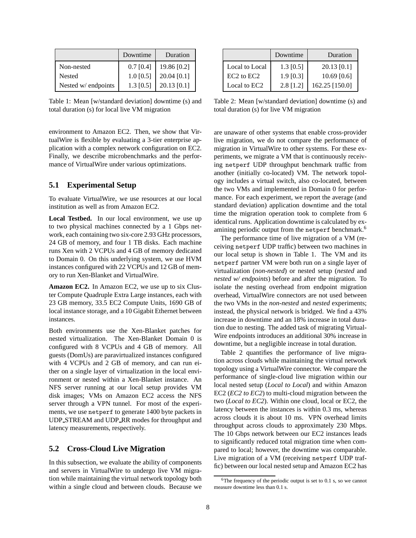|                     | Downtime    | Duration      |
|---------------------|-------------|---------------|
| Non-nested          | $0.7$ [0.4] | 19.86 [0.2]   |
| <b>Nested</b>       | $1.0$ [0.5] | 20.04 [0.1]   |
| Nested w/ endpoints | $1.3$ [0.5] | $20.13$ [0.1] |

Table 1: Mean [w/standard deviation] downtime (s) and total duration (s) for local live VM migration

environment to Amazon EC2. Then, we show that VirtualWire is flexible by evaluating a 3-tier enterprise application with a complex network configuration on EC2. Finally, we describe microbenchmarks and the performance of VirtualWire under various optimizations.

#### **5.1 Experimental Setup**

To evaluate VirtualWire, we use resources at our local institution as well as from Amazon EC2.

**Local Testbed.** In our local environment, we use up to two physical machines connected by a 1 Gbps network, each containing two six-core 2.93 GHz processors, 24 GB of memory, and four 1 TB disks. Each machine runs Xen with 2 VCPUs and 4 GB of memory dedicated to Domain 0. On this underlying system, we use HVM instances configured with 22 VCPUs and 12 GB of memory to run Xen-Blanket and VirtualWire.

**Amazon EC2.** In Amazon EC2, we use up to six Cluster Compute Quadruple Extra Large instances, each with 23 GB memory, 33.5 EC2 Compute Units, 1690 GB of local instance storage, and a 10 Gigabit Ethernet between instances.

Both environments use the Xen-Blanket patches for nested virtualization. The Xen-Blanket Domain 0 is configured with 8 VCPUs and 4 GB of memory. All guests (DomUs) are paravirtualized instances configured with 4 VCPUs and 2 GB of memory, and can run either on a single layer of virtualization in the local environment or nested within a Xen-Blanket instance. An NFS server running at our local setup provides VM disk images; VMs on Amazon EC2 access the NFS server through a VPN tunnel. For most of the experiments, we use netperf to generate 1400 byte packets in UDP STREAM and UDP RR modes for throughput and latency measurements, respectively.

#### **5.2 Cross-Cloud Live Migration**

In this subsection, we evaluate the ability of components and servers in VirtualWire to undergo live VM migration while maintaining the virtual network topology both within a single cloud and between clouds. Because we

|                                    | Downtime    | Duration       |
|------------------------------------|-------------|----------------|
| Local to Local                     | $1.3$ [0.5] | 20.13 [0.1]    |
| EC <sub>2</sub> to EC <sub>2</sub> | $1.9$ [0.3] | $10.69$ [0.6]  |
| Local to EC2                       | $2.8$ [1.2] | 162.25 [150.0] |

Table 2: Mean [w/standard deviation] downtime (s) and total duration (s) for live VM migration

are unaware of other systems that enable cross-provider live migration, we do not compare the performance of migration in VirtualWire to other systems. For these experiments, we migrate a VM that is continuously receiving netperf UDP throughput benchmark traffic from another (initially co-located) VM. The network topology includes a virtual switch, also co-located, between the two VMs and implemented in Domain 0 for performance. For each experiment, we report the average (and standard deviation) application downtime and the total time the migration operation took to complete from 6 identical runs. Application downtime is calculated by examining periodic output from the netperf benchmark.<sup>6</sup>

The performance time of live migration of a VM (receiving netperf UDP traffic) between two machines in our local setup is shown in Table 1. The VM and its netperf partner VM were both run on a single layer of virtualization (*non-nested*) or nested setup (*nested* and *nested w/ endpoints*) before and after the migration. To isolate the nesting overhead from endpoint migration overhead, VirtualWire connectors are not used between the two VMs in the *non-nested* and *nested* experiments; instead, the physical network is bridged. We find a 43% increase in downtime and an 18% increase in total duration due to nesting. The added task of migrating Virtual-Wire endpoints introduces an additional 30% increase in downtime, but a negligible increase in total duration.

Table 2 quantifies the performance of live migration across clouds while maintaining the virtual network topology using a VirtualWire connector. We compare the performance of single-cloud live migration within our local nested setup (*Local to Local*) and within Amazon EC2 (*EC2 to EC2*) to multi-cloud migration between the two (*Local to EC2*). Within one cloud, local or EC2, the latency between the instances is within 0.3 ms, whereas across clouds it is about 10 ms. VPN overhead limits throughput across clouds to approximately 230 Mbps. The 10 Gbps network between our EC2 instances leads to significantly reduced total migration time when compared to local; however, the downtime was comparable. Live migration of a VM (receiving netperf UDP traffic) between our local nested setup and Amazon EC2 has

 $6$ The frequency of the periodic output is set to 0.1 s, so we cannot measure downtime less than 0.1 s.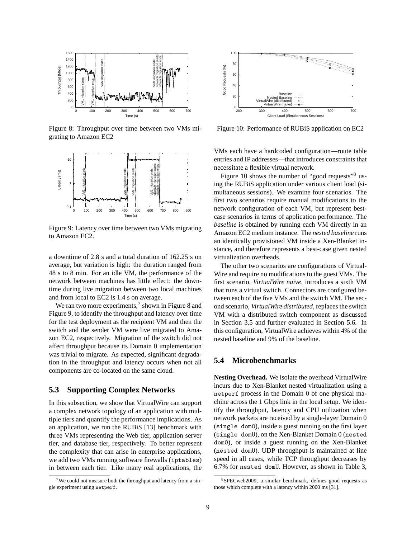

Figure 8: Throughput over time between two VMs migrating to Amazon EC2



Figure 9: Latency over time between two VMs migrating to Amazon EC2.

a downtime of 2.8 s and a total duration of 162.25 s on average, but variation is high: the duration ranged from 48 s to 8 min. For an idle VM, the performance of the network between machines has little effect: the downtime during live migration between two local machines and from local to EC2 is 1.4 s on average.

We ran two more experiments, $\frac{7}{1}$  shown in Figure 8 and Figure 9, to identify the throughput and latency over time for the test deployment as the recipient VM and then the switch and the sender VM were live migrated to Amazon EC2, respectively. Migration of the switch did not affect throughput because its Domain 0 implementation was trivial to migrate. As expected, significant degradation in the throughput and latency occurs when not all components are co-located on the same cloud.

#### **5.3 Supporting Complex Networks**

In this subsection, we show that VirtualWire can support a complex network topology of an application with multiple tiers and quantify the performance implications. As an application, we run the RUBiS [13] benchmark with three VMs representing the Web tier, application server tier, and database tier, respectively. To better represent the complexity that can arise in enterprise applications, we add two VMs running software firewalls (iptables) in between each tier. Like many real applications, the



Figure 10: Performance of RUBiS application on EC2

VMs each have a hardcoded configuration—route table entries and IP addresses—that introduces constraints that necessitate a flexible virtual network.

Figure 10 shows the number of "good requests"<sup>8</sup> using the RUBiS application under various client load (simultaneous sessions). We examine four scenarios. The first two scenarios require manual modifications to the network configuration of each VM, but represent bestcase scenarios in terms of application performance. The *baseline* is obtained by running each VM directly in an Amazon EC2 medium instance. The *nested baseline* runs an identically provisioned VM inside a Xen-Blanket instance, and therefore represents a best-case given nested virtualization overheads.

The other two scenarios are configurations of Virtual-Wire and require no modifications to the guest VMs. The first scenario, VirtualWire naïve, introduces a sixth VM that runs a virtual switch. Connectors are configured between each of the five VMs and the switch VM. The second scenario, *VirtualWire distributed*, replaces the switch VM with a distributed switch component as discussed in Section 3.5 and further evaluated in Section 5.6. In this configuration, VirtualWire achieves within 4% of the nested baseline and 9% of the baseline.

#### **5.4 Microbenchmarks**

**Nesting Overhead.** We isolate the overhead VirtualWire incurs due to Xen-Blanket nested virtualization using a netperf process in the Domain 0 of one physical machine across the 1 Gbps link in the local setup. We identify the throughput, latency and CPU utilization when network packets are received by a single-layer Domain 0 (single dom0), inside a guest running on the first layer (single domU), on the Xen-Blanket Domain 0 (nested dom0), or inside a guest running on the Xen-Blanket (nested domU). UDP throughput is maintained at line speed in all cases, while TCP throughput decreases by 6.7% for nested domU. However, as shown in Table 3,

<sup>&</sup>lt;sup>7</sup>We could not measure both the throughput and latency from a single experiment using netperf.

<sup>8</sup>SPECweb2009, a similar benchmark, defines good requests as those which complete with a latency within 2000 ms [31].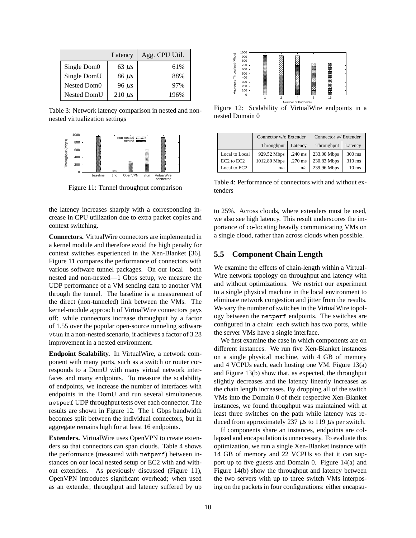|                    | Latency     | Agg. CPU Util. |
|--------------------|-------------|----------------|
| Single Dom0        | $63 \mu s$  | 61%            |
| Single DomU        | $86 \mu s$  | 88%            |
| Nested Dom0        | $96 \mu s$  | 97%            |
| <b>Nested DomU</b> | $210 \mu s$ | 196%           |

Table 3: Network latency comparison in nested and nonnested virtualization settings



Figure 11: Tunnel throughput comparison

the latency increases sharply with a corresponding increase in CPU utilization due to extra packet copies and context switching.

**Connectors.** VirtualWire connectors are implemented in a kernel module and therefore avoid the high penalty for context switches experienced in the Xen-Blanket [36]. Figure 11 compares the performance of connectors with various software tunnel packages. On our local—both nested and non-nested—1 Gbps setup, we measure the UDP performance of a VM sending data to another VM through the tunnel. The baseline is a measurement of the direct (non-tunneled) link between the VMs. The kernel-module approach of VirtualWire connectors pays off: while connectors increase throughput by a factor of 1.55 over the popular open-source tunneling software vtun in a non-nested scenario, it achieves a factor of 3.28 improvement in a nested environment.

**Endpoint Scalability.** In VirtualWire, a network component with many ports, such as a switch or router corresponds to a DomU with many virtual network interfaces and many endpoints. To measure the scalability of endpoints, we increase the number of interfaces with endpoints in the DomU and run several simultaneous netperf UDP throughput tests over each connector. The results are shown in Figure 12. The 1 Gbps bandwidth becomes split between the individual connectors, but in aggregate remains high for at least 16 endpoints.

**Extenders.** VirtualWire uses OpenVPN to create extenders so that connectors can span clouds. Table 4 shows the performance (measured with netperf) between instances on our local nested setup or EC2 with and without extenders. As previously discussed (Figure 11), OpenVPN introduces significant overhead; when used as an extender, throughput and latency suffered by up



Figure 12: Scalability of VirtualWire endpoints in a nested Domain 0

|                | Connector w/o Extender |           | Connector w/ Extender |                  |
|----------------|------------------------|-----------|-----------------------|------------------|
|                | Throughput             | Latency   | Throughput            | Latency          |
| Local to Local | 929.52 Mbps            | $.240$ ms | 233.00 Mbps           | $.300$ ms        |
| EC2 to EC2     | 1012.80 Mbps           | $.270$ ms | 230.83 Mbps           | $.310$ ms        |
| Local to EC2   | n/a                    | n/a       | 239.96 Mbps           | 10 <sub>ms</sub> |

Table 4: Performance of connectors with and without extenders

to 25%. Across clouds, where extenders must be used, we also see high latency. This result underscores the importance of co-locating heavily communicating VMs on a single cloud, rather than across clouds when possible.

#### **5.5 Component Chain Length**

We examine the effects of chain-length within a Virtual-Wire network topology on throughput and latency with and without optimizations. We restrict our experiment to a single physical machine in the local environment to eliminate network congestion and jitter from the results. We vary the number of switches in the VirtualWire topology between the netperf endpoints. The switches are configured in a chain: each switch has two ports, while the server VMs have a single interface.

We first examine the case in which components are on different instances. We run five Xen-Blanket instances on a single physical machine, with 4 GB of memory and 4 VCPUs each, each hosting one VM. Figure 13(a) and Figure 13(b) show that, as expected, the throughput slightly decreases and the latency linearly increases as the chain length increases. By dropping all of the switch VMs into the Domain 0 of their respective Xen-Blanket instances, we found throughput was maintained with at least three switches on the path while latency was reduced from approximately 237  $\mu$ s to 119  $\mu$ s per switch.

If components share an instances, endpoints are collapsed and encapsulation is unnecessary. To evaluate this optimization, we run a single Xen-Blanket instance with 14 GB of memory and 22 VCPUs so that it can support up to five guests and Domain 0. Figure 14(a) and Figure 14(b) show the throughput and latency between the two servers with up to three switch VMs interposing on the packets in four configurations: either encapsu-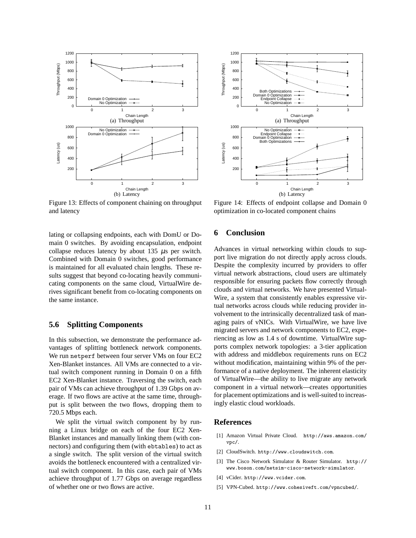

Figure 13: Effects of component chaining on throughput and latency

lating or collapsing endpoints, each with DomU or Domain 0 switches. By avoiding encapsulation, endpoint collapse reduces latency by about  $135 \mu s$  per switch. Combined with Domain 0 switches, good performance is maintained for all evaluated chain lengths. These results suggest that beyond co-locating heavily communicating components on the same cloud, VirtualWire derives significant benefit from co-locating components on the same instance.

#### **5.6 Splitting Components**

In this subsection, we demonstrate the performance advantages of splitting bottleneck network components. We run netperf between four server VMs on four EC2 Xen-Blanket instances. All VMs are connected to a virtual switch component running in Domain 0 on a fifth EC2 Xen-Blanket instance. Traversing the switch, each pair of VMs can achieve throughput of 1.39 Gbps on average. If two flows are active at the same time, throughput is split between the two flows, dropping them to 720.5 Mbps each.

We split the virtual switch component by by running a Linux bridge on each of the four EC2 Xen-Blanket instances and manually linking them (with connectors) and configuring them (with ebtables) to act as a single switch. The split version of the virtual switch avoids the bottleneck encountered with a centralized virtual switch component. In this case, each pair of VMs achieve throughput of 1.77 Gbps on average regardless of whether one or two flows are active.



Figure 14: Effects of endpoint collapse and Domain 0 optimization in co-located component chains

#### **6 Conclusion**

Advances in virtual networking within clouds to support live migration do not directly apply across clouds. Despite the complexity incurred by providers to offer virtual network abstractions, cloud users are ultimately responsible for ensuring packets flow correctly through clouds and virtual networks. We have presented Virtual-Wire, a system that consistently enables expressive virtual networks across clouds while reducing provider involvement to the intrinsically decentralized task of managing pairs of vNICs. With VirtualWire, we have live migrated servers and network components to EC2, experiencing as low as 1.4 s of downtime. VirtualWire supports complex network topologies: a 3-tier application with address and middlebox requirements runs on EC2 without modification, maintaining within 9% of the performance of a native deployment. The inherent elasticity of VirtualWire—the ability to live migrate any network component in a virtual network—creates opportunities for placement optimizations and is well-suited to increasingly elastic cloud workloads.

#### **References**

- [1] Amazon Virtual Private Cloud. http://aws.amazon.com/ vpc/.
- [2] CloudSwitch. http://www.cloudswitch.com.
- [3] The Cisco Network Simulator & Router Simulator. http:// www.boson.com/netsim-cisco-network-simulator.
- [4] vCider. http://www.vcider.com.
- [5] VPN-Cubed. http://www.cohesiveft.com/vpncubed/.